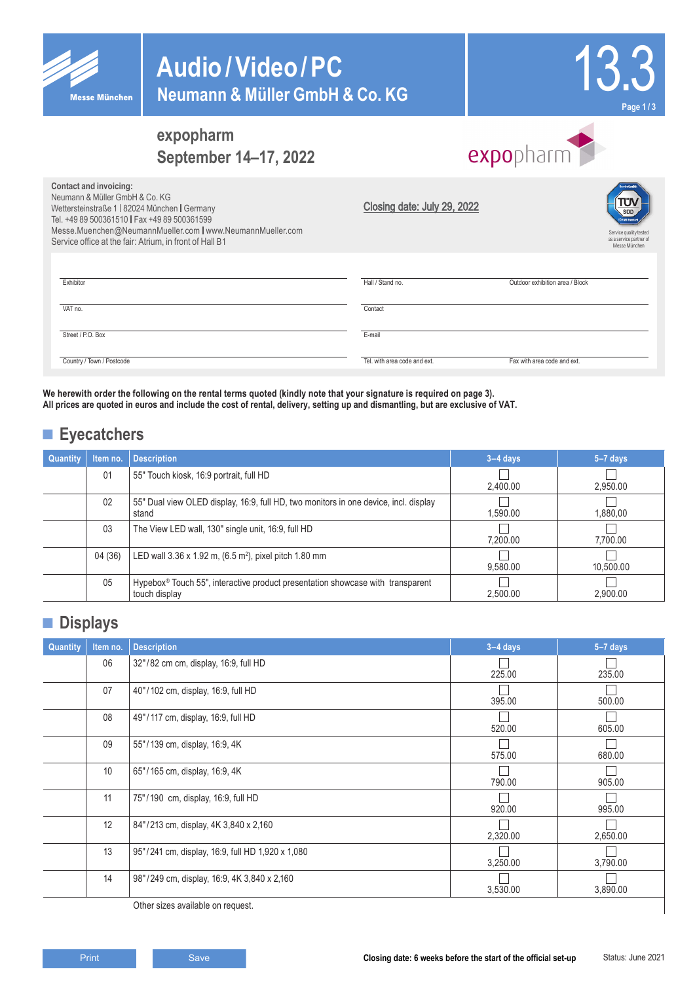

**Contact and invoicing:** Neumann & Müller GmbH & Co. KG

Wettersteinstraße 1 | 82024 München | Germany Tel. +49 89 500361510 | Fax +49 89 500361599

Messe.Muenchen@NeumannMueller.com | www.NeumannMueller.com

# **Audio/Video/PC Neumann & Müller GmbH & Co. KG**



Service quality tested

# **expopharm September 14–17, 2022**

|                             | <b>expo</b> pharm |  |
|-----------------------------|-------------------|--|
| Closing date: July 29, 2022 |                   |  |

| Service office at the fair: Atrium, in front of Hall B1 |                              | as a service partner of<br>Messe München |
|---------------------------------------------------------|------------------------------|------------------------------------------|
|                                                         |                              |                                          |
| Exhibitor                                               | Hall / Stand no.             | Outdoor exhibition area / Block          |
| VAT no.                                                 | Contact                      |                                          |
| Street / P.O. Box                                       | E-mail                       |                                          |
| Country / Town / Postcode                               | Tel. with area code and ext. | Fax with area code and ext.              |

**We herewith order the following on the rental terms quoted (kindly note that your signature is required on page 3). All prices are quoted in euros and include the cost of rental, delivery, setting up and dismantling, but are exclusive of VAT.** 

## **■ Eyecatchers**

| <b>Quantity</b> | Item no. | <b>Description</b>                                                                              | $3-4$ days | $5-7$ days |
|-----------------|----------|-------------------------------------------------------------------------------------------------|------------|------------|
|                 | 01       | 55" Touch kiosk, 16:9 portrait, full HD                                                         | 2.400.00   | 2.950.00   |
|                 | 02       | 55" Dual view OLED display, 16:9, full HD, two monitors in one device, incl. display<br>stand   | 1.590.00   | 1,880,00   |
|                 | 03       | The View LED wall, 130" single unit, 16:9, full HD                                              | 7.200.00   | 7.700.00   |
|                 | 04 (36)  | LED wall $3.36 \times 1.92$ m, $(6.5 \text{ m}^2)$ , pixel pitch 1.80 mm                        | 9.580.00   | 10.500.00  |
|                 | 05       | Hypebox® Touch 55", interactive product presentation showcase with transparent<br>touch display | 2.500.00   | 2.900.00   |

### **■ Displays**

| Quantity | Item no. | <b>Description</b>                               | $3-4$ days | $5-7$ days |
|----------|----------|--------------------------------------------------|------------|------------|
|          | 06       | 32"/82 cm cm, display, 16:9, full HD             | 225.00     | 235.00     |
|          | 07       | 40"/102 cm, display, 16:9, full HD               | 395.00     | 500.00     |
|          | 08       | 49"/117 cm, display, 16:9, full HD               | 520.00     | 605.00     |
|          | 09       | 55"/139 cm, display, 16:9, 4K                    | 575.00     | 680.00     |
|          | 10       | 65"/165 cm, display, 16:9, 4K                    | 790.00     | 905.00     |
|          | 11       | 75"/190 cm, display, 16:9, full HD               | 920.00     | 995.00     |
|          | 12       | 84"/213 cm, display, 4K 3,840 x 2,160            | 2,320.00   | 2,650.00   |
|          | 13       | 95"/241 cm, display, 16:9, full HD 1,920 x 1,080 | 3,250.00   | 3,790.00   |
|          | 14       | 98"/249 cm, display, 16:9, 4K 3,840 x 2,160      | 3,530.00   | 3,890.00   |

Other sizes available on request.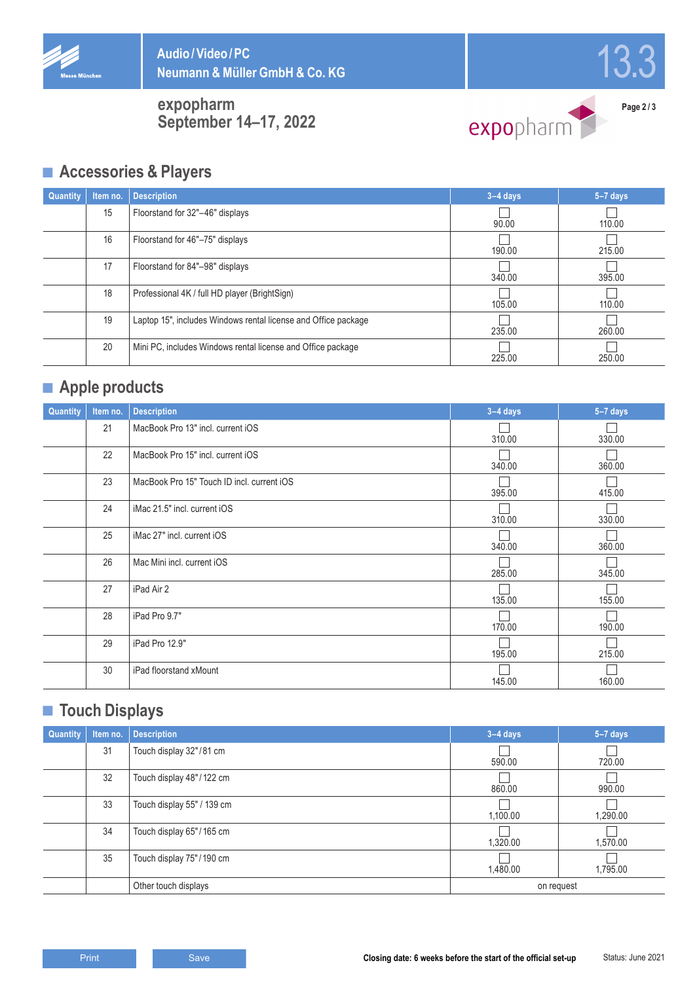



**expopharm September 14–17, 2022**



**Page 2 / 3**

### **■ Accessories & Players**

| <b>Quantity</b> | Item no. | <b>Description</b>                                             | $3-4$ days | $5-7$ days |
|-----------------|----------|----------------------------------------------------------------|------------|------------|
|                 | 15       | Floorstand for 32"-46" displays                                | 90.00      | 110.00     |
|                 | 16       | Floorstand for 46"-75" displays                                | 190.00     | 215.00     |
|                 | 17       | Floorstand for 84"-98" displays                                | 340.00     | 395.00     |
|                 | 18       | Professional 4K / full HD player (BrightSign)                  | 105.00     | 110.00     |
|                 | 19       | Laptop 15", includes Windows rental license and Office package | 235.00     | 260.00     |
|                 | 20       | Mini PC, includes Windows rental license and Office package    | 225.00     | 250.00     |

# **■ Apple products**

| Quantity | Item no. | <b>Description</b>                         | $3-4$ days | $5-7$ days |
|----------|----------|--------------------------------------------|------------|------------|
|          | 21       | MacBook Pro 13" incl. current iOS          | 310.00     | 330.00     |
|          | 22       | MacBook Pro 15" incl. current iOS          | 340.00     | 360.00     |
|          | 23       | MacBook Pro 15" Touch ID incl. current iOS | 395.00     | 415.00     |
|          | 24       | iMac 21.5" incl. current iOS               | 310.00     | 330.00     |
|          | 25       | iMac 27" incl. current iOS                 | 340.00     | 360.00     |
|          | 26       | Mac Mini incl. current iOS                 | 285.00     | 345.00     |
|          | 27       | iPad Air 2                                 | 135.00     | 155.00     |
|          | 28       | iPad Pro 9.7"                              | 170.00     | 190.00     |
|          | 29       | iPad Pro 12.9"                             | 195.00     | 215.00     |
|          | 30       | iPad floorstand xMount                     | 145.00     | 160.00     |

## **■ Touch Displays**

| <b>Quantity</b> | Item no. | <b>Description</b>         | $3-4$ days | $5-7$ days |
|-----------------|----------|----------------------------|------------|------------|
|                 | 31       | Touch display 32"/81 cm    | 590.00     | 720.00     |
|                 | 32       | Touch display 48"/122 cm   | 860.00     | 990.00     |
|                 | 33       | Touch display 55" / 139 cm | 1,100.00   | 1,290.00   |
|                 | 34       | Touch display 65"/165 cm   | 1,320.00   | 1,570.00   |
|                 | 35       | Touch display 75"/190 cm   | 1,480.00   | 1,795.00   |
|                 |          | Other touch displays       | on request |            |